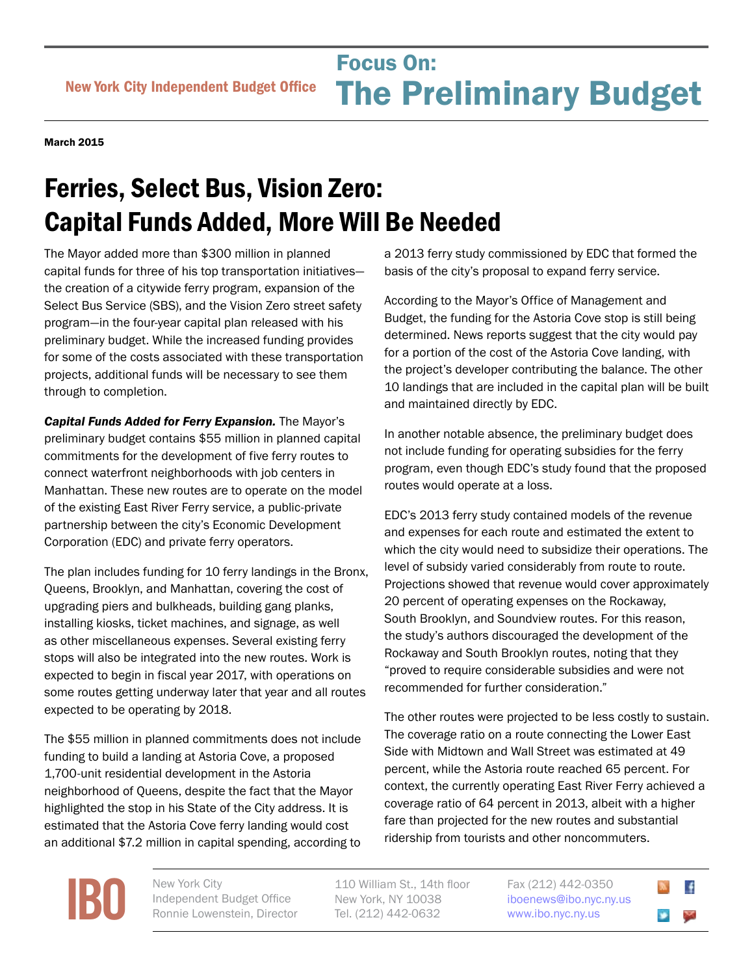## Focus On:<br>
New York City Independent Budget Office **The Preliminary Bu** Focus On: The Preliminary Budget

March 2015

## Ferries, Select Bus, Vision Zero: Capital Funds Added, More Will Be Needed

The Mayor added more than \$300 million in planned capital funds for three of his top transportation initiatives the creation of a citywide ferry program, expansion of the Select Bus Service (SBS), and the Vision Zero street safety program—in the four-year capital plan released with his preliminary budget. While the increased funding provides for some of the costs associated with these transportation projects, additional funds will be necessary to see them through to completion.

*Capital Funds Added for Ferry Expansion.* The Mayor's preliminary budget contains \$55 million in planned capital commitments for the development of five ferry routes to connect waterfront neighborhoods with job centers in Manhattan. These new routes are to operate on the model of the existing East River Ferry service, a public-private partnership between the city's Economic Development Corporation (EDC) and private ferry operators.

The plan includes funding for 10 ferry landings in the Bronx, Queens, Brooklyn, and Manhattan, covering the cost of upgrading piers and bulkheads, building gang planks, installing kiosks, ticket machines, and signage, as well as other miscellaneous expenses. Several existing ferry stops will also be integrated into the new routes. Work is expected to begin in fiscal year 2017, with operations on some routes getting underway later that year and all routes expected to be operating by 2018.

The \$55 million in planned commitments does not include funding to build a landing at Astoria Cove, a proposed 1,700-unit residential development in the Astoria neighborhood of Queens, despite the fact that the Mayor highlighted the stop in his State of the City address. It is estimated that the Astoria Cove ferry landing would cost an additional \$7.2 million in capital spending, according to a 2013 ferry study commissioned by EDC that formed the basis of the city's proposal to expand ferry service.

According to the Mayor's Office of Management and Budget, the funding for the Astoria Cove stop is still being determined. News reports suggest that the city would pay for a portion of the cost of the Astoria Cove landing, with the project's developer contributing the balance. The other 10 landings that are included in the capital plan will be built and maintained directly by EDC.

In another notable absence, the preliminary budget does not include funding for operating subsidies for the ferry program, even though EDC's study found that the proposed routes would operate at a loss.

EDC's 2013 ferry study contained models of the revenue and expenses for each route and estimated the extent to which the city would need to subsidize their operations. The level of subsidy varied considerably from route to route. Projections showed that revenue would cover approximately 20 percent of operating expenses on the Rockaway, South Brooklyn, and Soundview routes. For this reason, the study's authors discouraged the development of the Rockaway and South Brooklyn routes, noting that they "proved to require considerable subsidies and were not recommended for further consideration."

The other routes were projected to be less costly to sustain. The coverage ratio on a route connecting the Lower East Side with Midtown and Wall Street was estimated at 49 percent, while the Astoria route reached 65 percent. For context, the currently operating East River Ferry achieved a coverage ratio of 64 percent in 2013, albeit with a higher fare than projected for the new routes and substantial ridership from tourists and other noncommuters.

**[IBO](http://www.ibo.nyc.ny.us)** New York City<br>
Independent<br>
Ronnie Lower Independent Budget Office Ronnie Lowenstein, Director

110 William St., 14th floor New York, NY 10038 Tel. (212) 442-0632

Fax (212) 442-0350 [iboenews@ibo.nyc.ny.us](mailto:iboenews%40ibo.nyc.ny.us?subject=)  <www.ibo.nyc.ny.us>

 $\ddot{\bullet}$